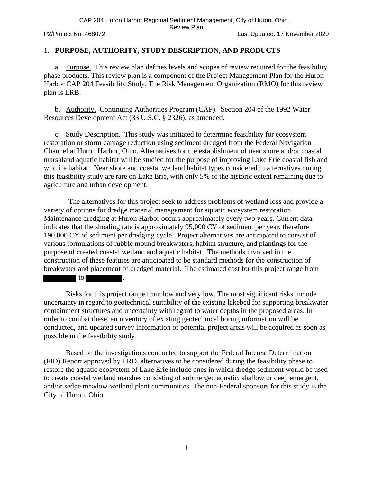CAP 204 Huron Harbor Regional Sediment Management, City of Huron, Ohio.

Review Plan

P2/Project No.:468072 Last Updated: 17 November 2020

#### 1. **PURPOSE, AUTHORITY, STUDY DESCRIPTION, AND PRODUCTS**

a. Purpose. This review plan defines levels and scopes of review required for the feasibility phase products. This review plan is a component of the Project Management Plan for the Huron Harbor CAP 204 Feasibility Study. The Risk Management Organization (RMO) for this review plan is LRB.

b. Authority. Continuing Authorities Program (CAP). Section 204 of the 1992 Water Resources Development Act (33 U.S.C. § 2326), as amended.

c. Study Description. This study was initiated to determine feasibility for ecosystem restoration or storm damage reduction using sediment dredged from the Federal Navigation Channel at Huron Harbor, Ohio. Alternatives for the establishment of near shore and/or coastal marshland aquatic habitat will be studied for the purpose of improving Lake Erie coastal fish and wildlife habitat. Near shore and coastal wetland habitat types considered in alternatives during this feasibility study are rare on Lake Erie, with only 5% of the historic extent remaining due to agriculture and urban development.

The alternatives for this project seek to address problems of wetland loss and provide a variety of options for dredge material management for aquatic ecosystem restoration. Maintenance dredging at Huron Harbor occurs approximately every two years. Current data indicates that the shoaling rate is approximately 95,000 CY of sediment per year, therefore 190,000 CY of sediment per dredging cycle. Project alternatives are anticipated to consist of various formulations of rubble mound breakwaters, habitat structure, and plantings for the purpose of created coastal wetland and aquatic habitat. The methods involved in the construction of these features are anticipated to be standard methods for the construction of breakwater and placement of dredged material. The estimated cost for this project range from

 $\vert$  to  $\vert$ 

Risks for this project range from low and very low. The most significant risks include uncertainty in regard to geotechnical suitability of the existing lakebed for supporting breakwater containment structures and uncertainty with regard to water depths in the proposed areas. In order to combat these, an inventory of existing geotechnical boring information will be conducted, and updated survey information of potential project areas will be acquired as soon as possible in the feasibility study.

Based on the investigations conducted to support the Federal Interest Determination (FID) Report approved by LRD, alternatives to be considered during the feasibility phase to restore the aquatic ecosystem of Lake Erie include ones in which dredge sediment would be used to create coastal wetland marshes consisting of submerged aquatic, shallow or deep emergent, and/or sedge meadow-wetland plant communities. The non-Federal sponsors for this study is the City of Huron, Ohio.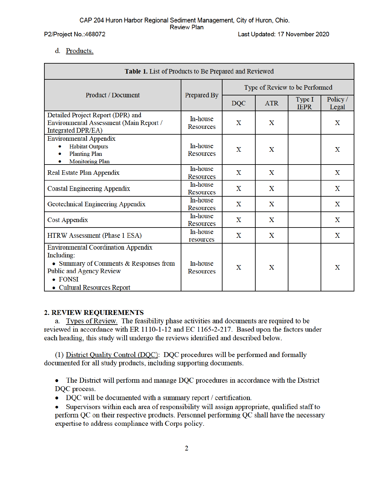CAP 204 Huron Harbor Regional Sediment Management, City of Huron, Ohio. **Review Plan** 

P2/Project No.:468072

Last Updated: 17 November 2020

#### d. Products.

| Table 1. List of Products to Be Prepared and Reviewed                                                                                                                    |                              |                                |             |                       |                   |
|--------------------------------------------------------------------------------------------------------------------------------------------------------------------------|------------------------------|--------------------------------|-------------|-----------------------|-------------------|
|                                                                                                                                                                          |                              | Type of Review to be Performed |             |                       |                   |
| Product / Document                                                                                                                                                       | Prepared By                  | <b>DQC</b><br><b>ATR</b>       |             | Type I<br><b>IEPR</b> | Policy /<br>Legal |
| Detailed Project Report (DPR) and<br>Environmental Assessment (Main Report /<br>Integrated DPR/EA)                                                                       | In-house<br><b>Resources</b> | $\mathbf X$                    | X           |                       | $\mathbf X$       |
| <b>Environmental Appendix</b><br><b>Habitat Outputs</b><br><b>Planting Plan</b><br><b>Monitoring Plan</b>                                                                | In-house<br><b>Resources</b> | X                              | X           |                       | X                 |
| Real Estate Plan Appendix                                                                                                                                                | In-house<br><b>Resources</b> | X                              | X           |                       | X                 |
| <b>Coastal Engineering Appendix</b>                                                                                                                                      | In-house<br><b>Resources</b> | X                              | X           |                       | X                 |
| Geotechnical Engineering Appendix                                                                                                                                        | In-house<br>Resources        | $\mathbf X$                    | $\mathbf X$ |                       | $\mathbf X$       |
| <b>Cost Appendix</b>                                                                                                                                                     | In-house<br><b>Resources</b> | X                              | X           |                       | X                 |
| HTRW Assessment (Phase 1 ESA)                                                                                                                                            | In-house<br>resources        | X                              | X           |                       | X                 |
| <b>Environmental Coordination Appendix</b><br>Including:<br>• Summary of Comments & Responses from<br>Public and Agency Review<br>• FONSI<br>• Cultural Resources Report | In-house<br>Resources        | X                              | X           |                       | X                 |

### **2. REVIEW REQUIREMENTS**

a. Types of Review. The feasibility phase activities and documents are required to be reviewed in accordance with ER 1110-1-12 and EC 1165-2-217. Based upon the factors under each heading, this study will undergo the reviews identified and described below.

(1) District Quality Control (DQC): DQC procedures will be performed and formally documented for all study products, including supporting documents.

• The District will perform and manage DQC procedures in accordance with the District DQC process.

- DQC will be documented with a summary report / certification.  $\bullet$
- Supervisors within each area of responsibility will assign appropriate, qualified staff to  $\bullet$ perform QC on their respective products. Personnel performing QC shall have the necessary expertise to address compliance with Corps policy.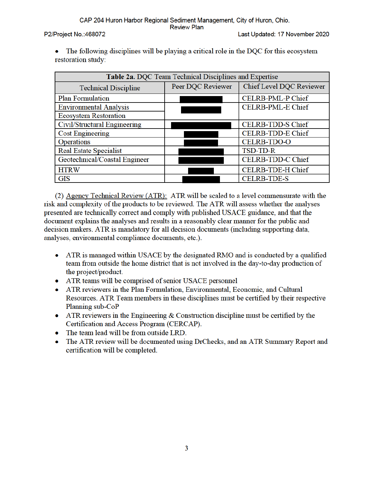P2/Project No.:468072

Last Updated: 17 November 2020

The following disciplines will be playing a critical role in the DQC for this ecosystem  $\bullet$ restoration study:

| Table 2a. DQC Team Technical Disciplines and Expertise |                                                      |                          |  |  |
|--------------------------------------------------------|------------------------------------------------------|--------------------------|--|--|
| <b>Technical Discipline</b>                            | <b>Chief Level DQC Reviewer</b><br>Peer DQC Reviewer |                          |  |  |
| <b>Plan Formulation</b>                                |                                                      | CELRB-PML-P Chief        |  |  |
| <b>Environmental Analysis</b>                          |                                                      | <b>CELRB-PML-E Chief</b> |  |  |
| <b>Ecosystem Restoration</b>                           |                                                      |                          |  |  |
| Civil/Structural Engineering                           |                                                      | <b>CELRB-TDD-S Chief</b> |  |  |
| <b>Cost Engineering</b>                                |                                                      | CELRB-TDD-E Chief        |  |  |
| <b>Operations</b>                                      |                                                      | <b>CELRB-TDO-O</b>       |  |  |
| <b>Real Estate Specialist</b>                          |                                                      | TSD-TD-R                 |  |  |
| Geotechnical/Coastal Engineer                          |                                                      | CELRB-TDD-C Chief        |  |  |
| <b>HTRW</b>                                            |                                                      | <b>CELRB-TDE-H Chief</b> |  |  |
| <b>GIS</b>                                             |                                                      | <b>CELRB-TDE-S</b>       |  |  |

(2) Agency Technical Review (ATR): ATR will be scaled to a level commensurate with the risk and complexity of the products to be reviewed. The ATR will assess whether the analyses presented are technically correct and comply with published USACE guidance, and that the document explains the analyses and results in a reasonably clear manner for the public and decision makers. ATR is mandatory for all decision documents (including supporting data, analyses, environmental compliance documents, etc.).

- ATR is managed within USACE by the designated RMO and is conducted by a qualified team from outside the home district that is not involved in the day-to-day production of the project/product.
- ATR teams will be comprised of senior USACE personnel  $\bullet$
- ATR reviewers in the Plan Formulation, Environmental, Economic, and Cultural Resources. ATR Team members in these disciplines must be certified by their respective Planning sub-CoP
- ATR reviewers in the Engineering  $&$  Construction discipline must be certified by the  $\bullet$ Certification and Access Program (CERCAP).
- The team lead will be from outside LRD.
- The ATR review will be documented using DrChecks, and an ATR Summary Report and certification will be completed.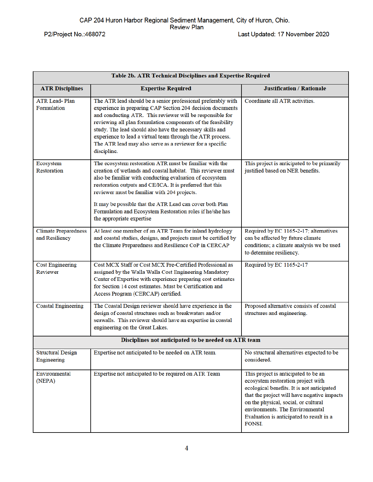Table 2b. ATR Technical Disciplines and Expertise Required **ATR Disciplines Expertise Required Justification / Rationale** The ATR lead should be a senior professional preferably with **ATR Lead-Plan** Coordinate all ATR activities. Formulation experience in preparing CAP Section 204 decision documents and conducting ATR. This reviewer will be responsible for reviewing all plan formulation components of the feasibility study. The lead should also have the necessary skills and experience to lead a virtual team through the ATR process. The ATR lead may also serve as a reviewer for a specific discipline. The ecosystem restoration ATR must be familiar with the Ecosystem This project is anticipated to be primarily Restoration creation of wetlands and coastal habitat. This reviewer must justified based on NER benefits. also be familiar with conducting evaluation of ecosystem restoration outputs and CE/ICA. It is preferred that this reviewer must be familiar with 204 projects. It may be possible that the ATR Lead can cover both Plan Formulation and Ecosystem Restoration roles if he/she has the appropriate expertise **Climate Preparedness** At least one member of an ATR Team for inland hydrology Required by EC 1165-2-17; alternatives and Resiliency and coastal studies, designs, and projects must be certified by can be affected by future climate the Climate Preparedness and Resilience CoP in CERCAP conditions; a climate analysis we be used to determine resiliency. Cost MCX Staff or Cost MCX Pre-Certified Professional as Required by EC 1165-2-17 **Cost Engineering** Reviewer assigned by the Walla Walla Cost Engineering Mandatory Center of Expertise with experience preparing cost estimates for Section 14 cost estimates. Must be Certification and Access Program (CERCAP) certified. **Coastal Engineering** The Coastal Design reviewer should have experience in the Proposed alternative consists of coastal design of coastal structures such as breakwaters and/or structures and engineering. seawalls. This reviewer should have an expertise in coastal engineering on the Great Lakes. Disciplines not anticipated to be needed on ATR team **Structural Design** Expertise not anticipated to be needed on ATR team. No structural alternatives expected to be considered. Engineering Environmental Expertise not anticipated to be required on ATR Team This project is anticipated to be an (NEPA) ecosystem restoration project with ecological benefits. It is not anticipated that the project will have negative impacts on the physical, social, or cultural environments. The Environmental Evaluation is anticipated to result in a FONSI.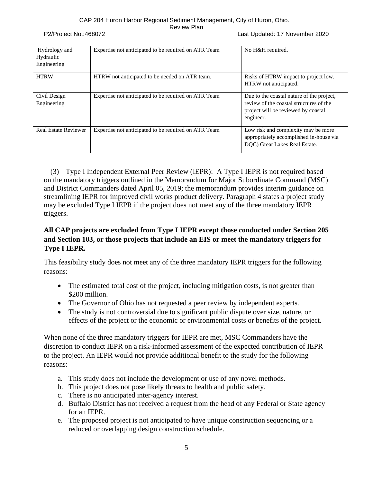P2/Project No.:468072 Last Updated: 17 November 2020

| Hydrology and<br>Hydraulic<br>Engineering | Expertise not anticipated to be required on ATR Team | No H&H required.                                                                                                                         |
|-------------------------------------------|------------------------------------------------------|------------------------------------------------------------------------------------------------------------------------------------------|
| <b>HTRW</b>                               | HTRW not anticipated to be needed on ATR team.       | Risks of HTRW impact to project low.<br>HTRW not anticipated.                                                                            |
| Civil Design<br>Engineering               | Expertise not anticipated to be required on ATR Team | Due to the coastal nature of the project,<br>review of the coastal structures of the<br>project will be reviewed by coastal<br>engineer. |
| <b>Real Estate Reviewer</b>               | Expertise not anticipated to be required on ATR Team | Low risk and complexity may be more<br>appropriately accomplished in-house via<br>DQC) Great Lakes Real Estate.                          |

(3) Type I Independent External Peer Review (IEPR): A Type I IEPR is not required based on the mandatory triggers outlined in the Memorandum for Major Subordinate Command (MSC) and District Commanders dated April 05, 2019; the memorandum provides interim guidance on streamlining IEPR for improved civil works product delivery. Paragraph 4 states a project study may be excluded Type I IEPR if the project does not meet any of the three mandatory IEPR triggers.

## **All CAP projects are excluded from Type I IEPR except those conducted under Section 205 and Section 103, or those projects that include an EIS or meet the mandatory triggers for Type I IEPR.**

This feasibility study does not meet any of the three mandatory IEPR triggers for the following reasons:

- The estimated total cost of the project, including mitigation costs, is not greater than \$200 million.
- The Governor of Ohio has not requested a peer review by independent experts.
- The study is not controversial due to significant public dispute over size, nature, or effects of the project or the economic or environmental costs or benefits of the project.

When none of the three mandatory triggers for IEPR are met, MSC Commanders have the discretion to conduct IEPR on a risk-informed assessment of the expected contribution of IEPR to the project. An IEPR would not provide additional benefit to the study for the following reasons:

- a. This study does not include the development or use of any novel methods.
- b. This project does not pose likely threats to health and public safety.
- c. There is no anticipated inter-agency interest.
- d. Buffalo District has not received a request from the head of any Federal or State agency for an IEPR.
- e. The proposed project is not anticipated to have unique construction sequencing or a reduced or overlapping design construction schedule.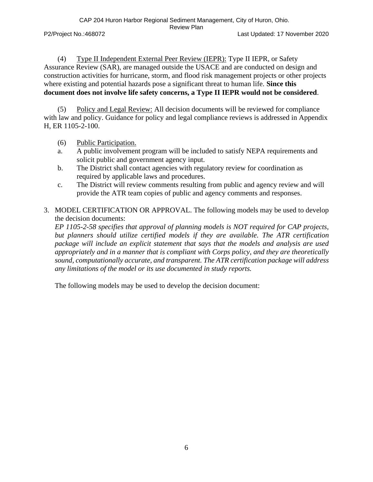(4) Type II Independent External Peer Review (IEPR): Type II IEPR, or Safety Assurance Review (SAR), are managed outside the USACE and are conducted on design and construction activities for hurricane, storm, and flood risk management projects or other projects where existing and potential hazards pose a significant threat to human life. **Since this document does not involve life safety concerns, a Type II IEPR would not be considered**.

(5) Policy and Legal Review: All decision documents will be reviewed for compliance with law and policy. Guidance for policy and legal compliance reviews is addressed in Appendix H, ER 1105-2-100.

- (6) Public Participation.
- a. A public involvement program will be included to satisfy NEPA requirements and solicit public and government agency input.
- b. The District shall contact agencies with regulatory review for coordination as required by applicable laws and procedures.
- c. The District will review comments resulting from public and agency review and will provide the ATR team copies of public and agency comments and responses.
- 3. MODEL CERTIFICATION OR APPROVAL. The following models may be used to develop the decision documents:

*EP 1105-2-58 specifies that approval of planning models is NOT required for CAP projects, but planners should utilize certified models if they are available. The ATR certification package will include an explicit statement that says that the models and analysis are used appropriately and in a manner that is compliant with Corps policy, and they are theoretically sound, computationally accurate, and transparent. The ATR certification package will address any limitations of the model or its use documented in study reports.*

The following models may be used to develop the decision document: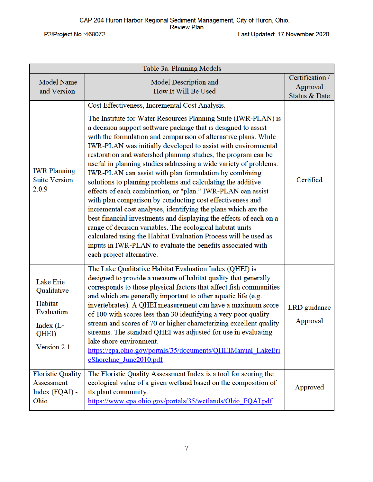P2/Project No.: 468072

| Table 3a. Planning Models                                                                     |                                                                                                                                                                                                                                                                                                                                                                                                                                                                                                                                                                                                                                                                                                                                                                                                                                                                                                                                                                                                                                                                                        |                                              |  |
|-----------------------------------------------------------------------------------------------|----------------------------------------------------------------------------------------------------------------------------------------------------------------------------------------------------------------------------------------------------------------------------------------------------------------------------------------------------------------------------------------------------------------------------------------------------------------------------------------------------------------------------------------------------------------------------------------------------------------------------------------------------------------------------------------------------------------------------------------------------------------------------------------------------------------------------------------------------------------------------------------------------------------------------------------------------------------------------------------------------------------------------------------------------------------------------------------|----------------------------------------------|--|
| <b>Model Name</b><br>and Version                                                              | Model Description and<br>How It Will Be Used                                                                                                                                                                                                                                                                                                                                                                                                                                                                                                                                                                                                                                                                                                                                                                                                                                                                                                                                                                                                                                           | Certification /<br>Approval<br>Status & Date |  |
| <b>IWR</b> Planning<br><b>Suite Version</b><br>2.0.9                                          | Cost Effectiveness, Incremental Cost Analysis.<br>The Institute for Water Resources Planning Suite (IWR-PLAN) is<br>a decision support software package that is designed to assist<br>with the formulation and comparison of alternative plans. While<br>IWR-PLAN was initially developed to assist with environmental<br>restoration and watershed planning studies, the program can be<br>useful in planning studies addressing a wide variety of problems.<br>IWR-PLAN can assist with plan formulation by combining<br>solutions to planning problems and calculating the additive<br>effects of each combination, or "plan." IWR-PLAN can assist<br>with plan comparison by conducting cost effectiveness and<br>incremental cost analyses, identifying the plans which are the<br>best financial investments and displaying the effects of each on a<br>range of decision variables. The ecological habitat units<br>calculated using the Habitat Evaluation Process will be used as<br>inputs in IWR-PLAN to evaluate the benefits associated with<br>each project alternative. | Certified                                    |  |
| <b>Lake Erie</b><br>Qualitative<br>Habitat<br>Evaluation<br>Index (L-<br>QHEI)<br>Version 2.1 | The Lake Qualitative Habitat Evaluation Index (QHEI) is<br>designed to provide a measure of habitat quality that generally<br>corresponds to those physical factors that affect fish communities<br>and which are generally important to other aquatic life (e.g.<br>invertebrates). A QHEI measurement can have a maximum score<br>of 100 with scores less than 30 identifying a very poor quality<br>stream and scores of 70 or higher characterizing excellent quality<br>streams. The standard QHEI was adjusted for use in evaluating<br>lake shore environment.<br>https://epa.ohio.gov/portals/35/documents/QHEIManual LakeEri<br>eShoreline June2010.pdf                                                                                                                                                                                                                                                                                                                                                                                                                       | LRD guidance<br>Approval                     |  |
| <b>Floristic Quality</b><br>Assessment<br>Index (FQAI) -<br>Ohio                              | The Floristic Quality Assessment Index is a tool for scoring the<br>ecological value of a given wetland based on the composition of<br>its plant community.<br>https://www.epa.ohio.gov/portals/35/wetlands/Ohio FQAI.pdf                                                                                                                                                                                                                                                                                                                                                                                                                                                                                                                                                                                                                                                                                                                                                                                                                                                              | Approved                                     |  |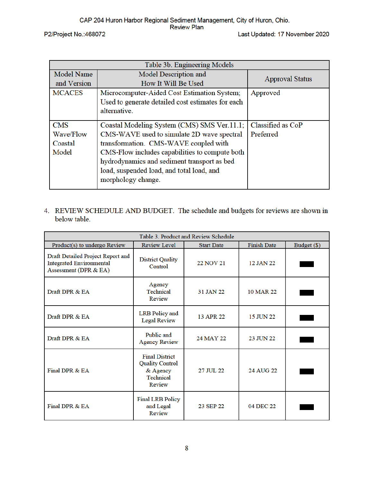P2/Project No.:468072

| Table 3b. Engineering Models |                                                   |                        |  |
|------------------------------|---------------------------------------------------|------------------------|--|
| <b>Model Name</b>            | Model Description and                             | <b>Approval Status</b> |  |
| and Version                  | How It Will Be Used                               |                        |  |
| <b>MCACES</b>                | Microcomputer-Aided Cost Estimation System;       | Approved               |  |
|                              | Used to generate detailed cost estimates for each |                        |  |
|                              | alternative.                                      |                        |  |
|                              |                                                   |                        |  |
| <b>CMS</b>                   | Coastal Modeling System (CMS) SMS Ver.11.1;       | Classified as CoP      |  |
| Wave/Flow                    | CMS-WAVE used to simulate 2D wave spectral        | Preferred              |  |
| Coastal                      | transformation. CMS-WAVE coupled with             |                        |  |
| Model                        | CMS-Flow includes capabilities to compute both    |                        |  |
|                              | hydrodynamics and sediment transport as bed       |                        |  |
|                              | load, suspended load, and total load, and         |                        |  |
|                              | morphology change.                                |                        |  |
|                              |                                                   |                        |  |

4. REVIEW SCHEDULE AND BUDGET. The schedule and budgets for reviews are shown in below table.

| Table 3. Product and Review Schedule                                                          |                                                                                           |                   |                    |             |
|-----------------------------------------------------------------------------------------------|-------------------------------------------------------------------------------------------|-------------------|--------------------|-------------|
| Product(s) to undergo Review                                                                  | Review Level                                                                              | <b>Start Date</b> | <b>Finish Date</b> | Budget (\$) |
| Draft Detailed Project Report and<br><b>Integrated Environmental</b><br>Assessment (DPR & EA) | <b>District Quality</b><br>Control                                                        | <b>22 NOV 21</b>  | 12 JAN 22          |             |
| Draft DPR & EA                                                                                | Agency<br>Technical<br>Review                                                             | 31 JAN 22         | 10 MAR 22          |             |
| Draft DPR & EA                                                                                | <b>LRB</b> Policy and<br><b>Legal Review</b>                                              | 13 APR 22         | 15 JUN 22          |             |
| Draft DPR & EA                                                                                | Public and<br><b>Agency Review</b>                                                        | 24 MAY 22         | 23 JUN 22          |             |
| Final DPR & EA                                                                                | <b>Final District</b><br><b>Quality Control</b><br>& Agency<br><b>Technical</b><br>Review | 27 JUL 22         | 24 AUG 22          |             |
| Final DPR & EA                                                                                | <b>Final LRB Policy</b><br>and Legal<br>Review                                            | 23 SEP 22         | 04 DEC 22          |             |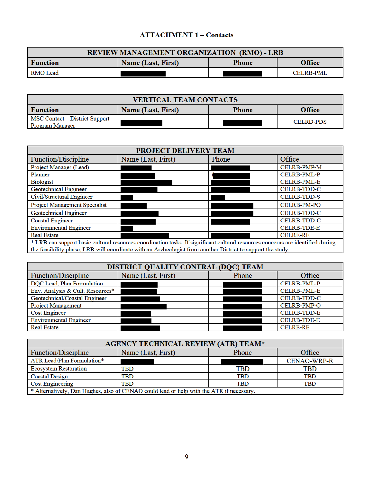## **ATTACHMENT 1 - Contacts**

| <b>REVIEW MANAGEMENT ORGANIZATION (RMO) - LRB</b>                             |  |  |                  |  |
|-------------------------------------------------------------------------------|--|--|------------------|--|
| <b>Office</b><br><b>Name (Last, First)</b><br><b>Function</b><br><b>Phone</b> |  |  |                  |  |
| <b>RMO</b> Lead                                                               |  |  | <b>CELRB-PML</b> |  |

| <b>VERTICAL TEAM CONTACTS</b>                                                 |  |  |                  |  |
|-------------------------------------------------------------------------------|--|--|------------------|--|
| <b>Function</b><br><b>Office</b><br><b>Name (Last, First)</b><br><b>Phone</b> |  |  |                  |  |
| MSC Contact – District Support<br><b>Program Manager</b>                      |  |  | <b>CELRD-PDS</b> |  |

| <b>PROJECT DELIVERY TEAM</b>                                                                                                    |                                                                                                             |       |                    |  |
|---------------------------------------------------------------------------------------------------------------------------------|-------------------------------------------------------------------------------------------------------------|-------|--------------------|--|
| <b>Function/Discipline</b>                                                                                                      | Name (Last, First)                                                                                          | Phone | Office             |  |
| Project Manager (Lead)                                                                                                          |                                                                                                             |       | <b>CELRB-PMP-M</b> |  |
| Planner                                                                                                                         |                                                                                                             |       | CELRB-PML-P        |  |
| Biologist                                                                                                                       |                                                                                                             |       | <b>CELRB-PML-E</b> |  |
| <b>Geotechnical Engineer</b>                                                                                                    |                                                                                                             |       | <b>CELRB-TDD-C</b> |  |
| Civil/Structural Engineer                                                                                                       |                                                                                                             |       | <b>CELRB-TDD-S</b> |  |
| Project Management Specialist                                                                                                   |                                                                                                             |       | <b>CELRB-PM-PO</b> |  |
| <b>Geotechnical Engineer</b>                                                                                                    |                                                                                                             |       | <b>CELRB-TDD-C</b> |  |
| <b>Coastal Engineer</b>                                                                                                         |                                                                                                             |       | <b>CELRB-TDD-C</b> |  |
| <b>Environmental Engineer</b>                                                                                                   |                                                                                                             |       | <b>CELRB-TDE-E</b> |  |
| <b>Real Estate</b>                                                                                                              |                                                                                                             |       | <b>CELRE-RE</b>    |  |
| * LRB can support basic cultural resources coordination tasks. If significant cultural resources concerns are identified during |                                                                                                             |       |                    |  |
|                                                                                                                                 | the feasibility phase, LRB will coordinate with an Archeologist from another District to support the study. |       |                    |  |

| DISTRICT QUALITY CONTRAL (DQC) TEAM |                    |       |                    |  |
|-------------------------------------|--------------------|-------|--------------------|--|
| <b>Function/Discipline</b>          | Name (Last, First) | Phone | Office             |  |
| DQC Lead, Plan Formulation          |                    |       | CELRB-PML-P        |  |
| Env. Analysis & Cult. Resources*    |                    |       | <b>CELRB-PML-E</b> |  |
| Geotechnical/Coastal Engineer       |                    |       | <b>CELRB-TDD-C</b> |  |
| <b>Project Management</b>           |                    |       | <b>CELRB-PMP-O</b> |  |
| <b>Cost Engineer</b>                |                    |       | <b>CELRB-TDD-E</b> |  |
| <b>Environmental Engineer</b>       |                    |       | <b>CELRB-TDE-E</b> |  |
| <b>Real Estate</b>                  |                    |       | <b>CELRE-RE</b>    |  |

| <b>AGENCY TECHNICAL REVIEW (ATR) TEAM*</b> |                                                                                          |            |                    |  |
|--------------------------------------------|------------------------------------------------------------------------------------------|------------|--------------------|--|
| <b>Function/Discipline</b>                 | Name (Last, First)                                                                       | Phone      | Office             |  |
| ATR Lead/Plan Formulation*                 |                                                                                          |            | <b>CENAO-WRP-R</b> |  |
| <b>Ecosystem Restoration</b>               | TBD                                                                                      | TBD        | TBD                |  |
| <b>Coastal Design</b>                      | TBD                                                                                      | <b>TBD</b> | <b>TBD</b>         |  |
| <b>Cost Engineering</b>                    | <b>TBD</b>                                                                               | <b>TBD</b> | <b>TBD</b>         |  |
|                                            | * Alternatively, Dan Hughes, also of CENAO could lead or help with the ATR if necessary. |            |                    |  |